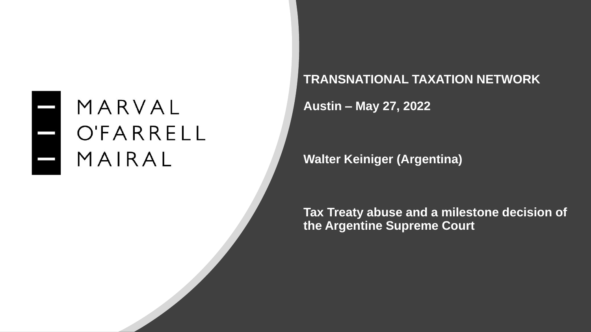#### MARVAL OFARRELL MAIRAL

#### **TRANSNATIONAL TAXATION NETWORK**

**Austin – May 27, 2022**

**Walter Keiniger (Argentina)**

**Tax Treaty abuse and a milestone decision of the Argentine Supreme Court**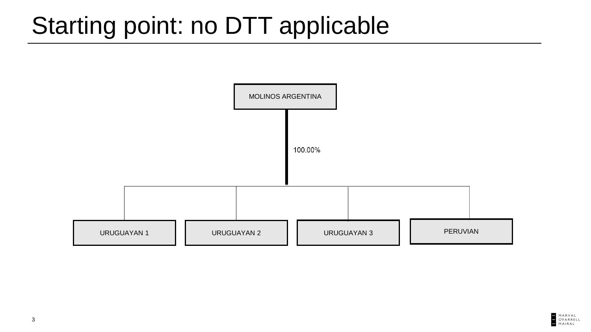### Starting point: no DTT applicable



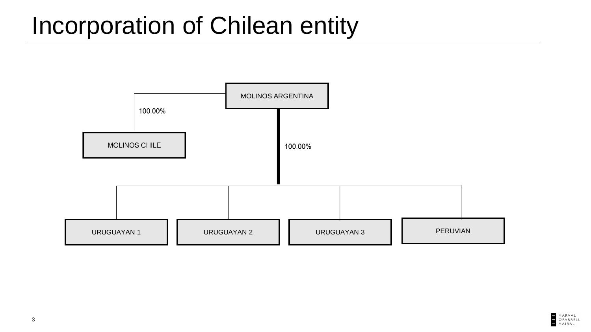#### Incorporation of Chilean entity



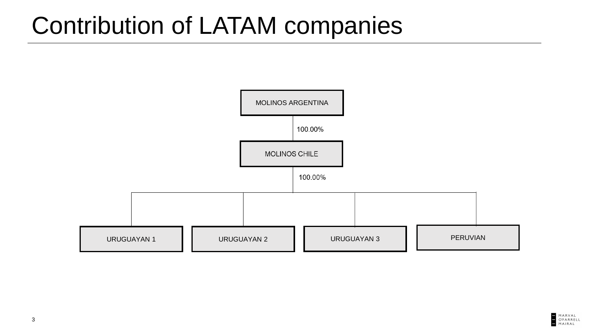#### Contribution of LATAM companies

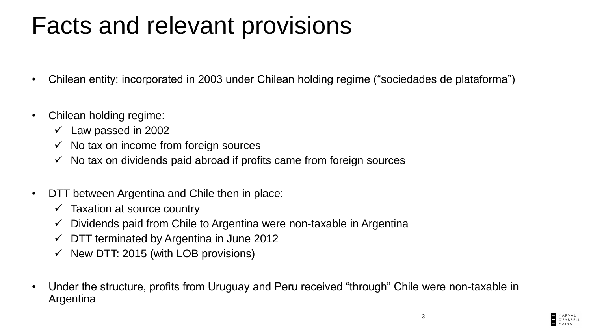#### Facts and relevant provisions

- Chilean entity: incorporated in 2003 under Chilean holding regime ("sociedades de plataforma")
- Chilean holding regime:
	- $\checkmark$  Law passed in 2002
	- $\checkmark$  No tax on income from foreign sources
	- $\checkmark$  No tax on dividends paid abroad if profits came from foreign sources
- DTT between Argentina and Chile then in place:
	- $\checkmark$  Taxation at source country
	- Dividends paid from Chile to Argentina were non-taxable in Argentina
	- $\checkmark$  DTT terminated by Argentina in June 2012
	- $\checkmark$  New DTT: 2015 (with LOB provisions)
- Under the structure, profits from Uruguay and Peru received "through" Chile were non-taxable in Argentina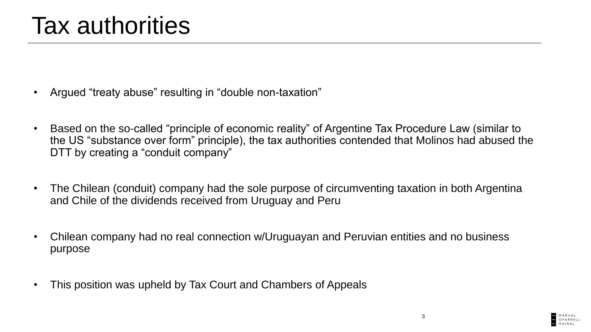- Argued "treaty abuse" resulting in "double non-taxation"
- Based on the so-called "principle of economic reality" of Argentine Tax Procedure Law (similar to the US "substance over form" principle), the tax authorities contended that Molinos had abused the DTT by creating a "conduit company"
- The Chilean (conduit) company had the sole purpose of circumventing taxation in both Argentina and Chile of the dividends received from Uruguay and Peru
- Chilean company had no real connection w/Uruguayan and Peruvian entities and no business purpose
- This position was upheld by Tax Court and Chambers of Appeals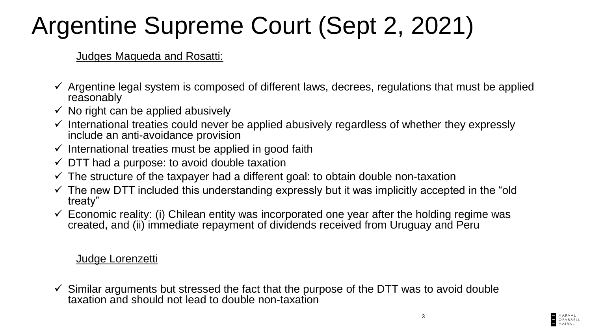# Argentine Supreme Court (Sept 2, 2021)

Judges Maqueda and Rosatti:

- $\checkmark$  Argentine legal system is composed of different laws, decrees, regulations that must be applied reasonably
- $\checkmark$  No right can be applied abusively
- $\checkmark$  International treaties could never be applied abusively regardless of whether they expressly include an anti-avoidance provision
- $\checkmark$  International treaties must be applied in good faith
- $\checkmark$  DTT had a purpose: to avoid double taxation
- $\checkmark$  The structure of the taxpayer had a different goal: to obtain double non-taxation
- $\checkmark$  The new DTT included this understanding expressly but it was implicitly accepted in the "old" treaty"
- $\checkmark$  Economic reality: (i) Chilean entity was incorporated one year after the holding regime was created, and (ii) immediate repayment of dividends received from Uruguay and Peru

Judge Lorenzetti

 $\checkmark$  Similar arguments but stressed the fact that the purpose of the DTT was to avoid double taxation and should not lead to double non-taxation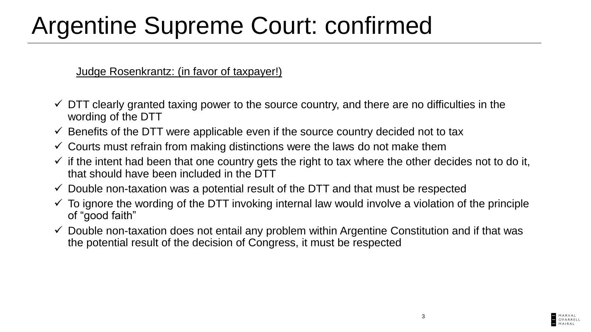## Argentine Supreme Court: confirmed

Judge Rosenkrantz: (in favor of taxpayer!)

- $\checkmark$  DTT clearly granted taxing power to the source country, and there are no difficulties in the wording of the DTT
- $\checkmark$  Benefits of the DTT were applicable even if the source country decided not to tax
- $\checkmark$  Courts must refrain from making distinctions were the laws do not make them
- $\checkmark$  if the intent had been that one country gets the right to tax where the other decides not to do it, that should have been included in the DTT
- $\checkmark$  Double non-taxation was a potential result of the DTT and that must be respected
- $\checkmark$  To ignore the wording of the DTT invoking internal law would involve a violation of the principle of "good faith"
- $\checkmark$  Double non-taxation does not entail any problem within Argentine Constitution and if that was the potential result of the decision of Congress, it must be respected